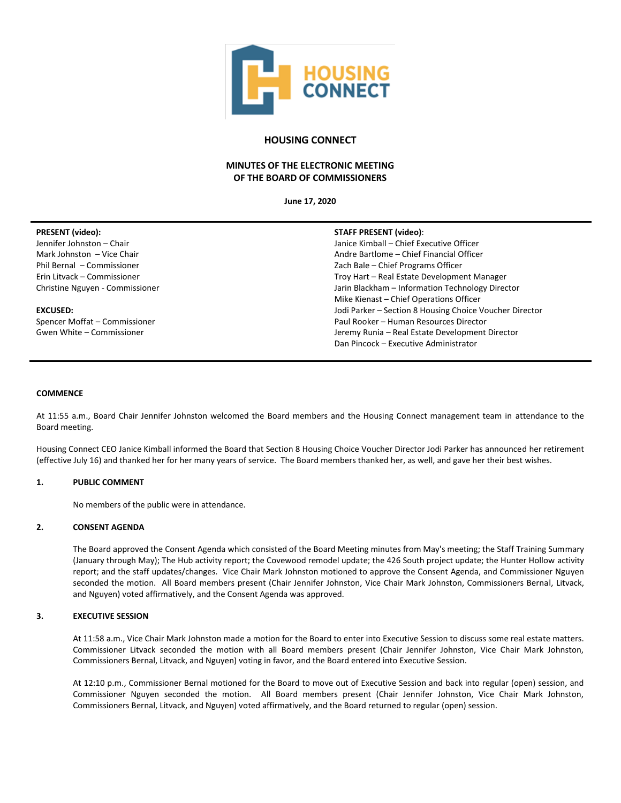

# **HOUSING CONNECT**

# **MINUTES OF THE ELECTRONIC MEETING OF THE BOARD OF COMMISSIONERS**

**June 17, 2020**

| <b>PRESENT</b> (video):         | <b>STAFF PRESENT (video):</b>                           |
|---------------------------------|---------------------------------------------------------|
| Jennifer Johnston - Chair       | Janice Kimball - Chief Executive Officer                |
| Mark Johnston - Vice Chair      | Andre Bartlome – Chief Financial Officer                |
| Phil Bernal - Commissioner      | Zach Bale - Chief Programs Officer                      |
| Erin Litvack - Commissioner     | Troy Hart - Real Estate Development Manager             |
| Christine Nguyen - Commissioner | Jarin Blackham - Information Technology Director        |
|                                 | Mike Kienast – Chief Operations Officer                 |
| <b>EXCUSED:</b>                 | Jodi Parker - Section 8 Housing Choice Voucher Director |
| Spencer Moffat - Commissioner   | Paul Rooker – Human Resources Director                  |
| Gwen White – Commissioner       | Jeremy Runia - Real Estate Development Director         |
|                                 | Dan Pincock - Executive Administrator                   |

#### **COMMENCE**

At 11:55 a.m., Board Chair Jennifer Johnston welcomed the Board members and the Housing Connect management team in attendance to the Board meeting.

Housing Connect CEO Janice Kimball informed the Board that Section 8 Housing Choice Voucher Director Jodi Parker has announced her retirement (effective July 16) and thanked her for her many years of service. The Board members thanked her, as well, and gave her their best wishes.

# **1. PUBLIC COMMENT**

No members of the public were in attendance.

#### **2. CONSENT AGENDA**

The Board approved the Consent Agenda which consisted of the Board Meeting minutes from May's meeting; the Staff Training Summary (January through May); The Hub activity report; the Covewood remodel update; the 426 South project update; the Hunter Hollow activity report; and the staff updates/changes. Vice Chair Mark Johnston motioned to approve the Consent Agenda, and Commissioner Nguyen seconded the motion. All Board members present (Chair Jennifer Johnston, Vice Chair Mark Johnston, Commissioners Bernal, Litvack, and Nguyen) voted affirmatively, and the Consent Agenda was approved.

#### **3. EXECUTIVE SESSION**

At 11:58 a.m., Vice Chair Mark Johnston made a motion for the Board to enter into Executive Session to discuss some real estate matters. Commissioner Litvack seconded the motion with all Board members present (Chair Jennifer Johnston, Vice Chair Mark Johnston, Commissioners Bernal, Litvack, and Nguyen) voting in favor, and the Board entered into Executive Session.

At 12:10 p.m., Commissioner Bernal motioned for the Board to move out of Executive Session and back into regular (open) session, and Commissioner Nguyen seconded the motion. All Board members present (Chair Jennifer Johnston, Vice Chair Mark Johnston, Commissioners Bernal, Litvack, and Nguyen) voted affirmatively, and the Board returned to regular (open) session.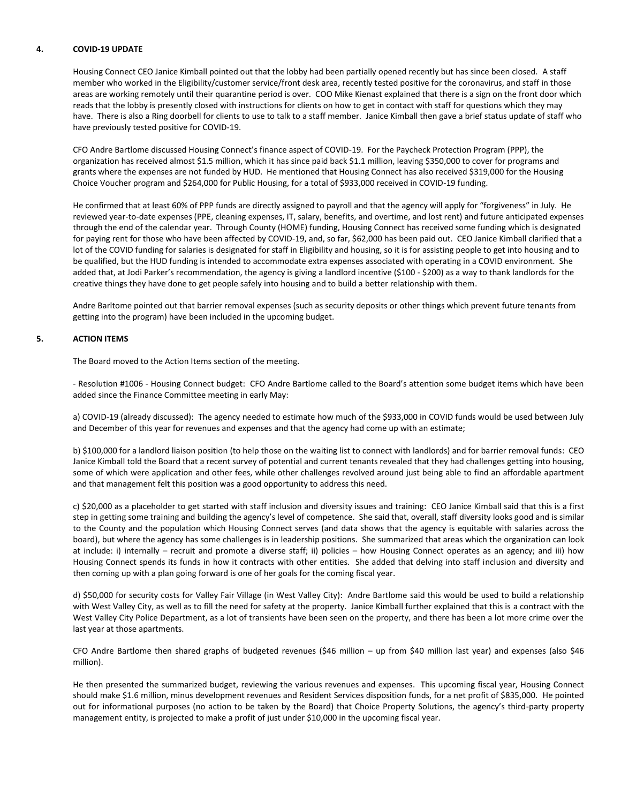#### **4. COVID-19 UPDATE**

Housing Connect CEO Janice Kimball pointed out that the lobby had been partially opened recently but has since been closed. A staff member who worked in the Eligibility/customer service/front desk area, recently tested positive for the coronavirus, and staff in those areas are working remotely until their quarantine period is over. COO Mike Kienast explained that there is a sign on the front door which reads that the lobby is presently closed with instructions for clients on how to get in contact with staff for questions which they may have. There is also a Ring doorbell for clients to use to talk to a staff member. Janice Kimball then gave a brief status update of staff who have previously tested positive for COVID-19.

CFO Andre Bartlome discussed Housing Connect's finance aspect of COVID-19. For the Paycheck Protection Program (PPP), the organization has received almost \$1.5 million, which it has since paid back \$1.1 million, leaving \$350,000 to cover for programs and grants where the expenses are not funded by HUD. He mentioned that Housing Connect has also received \$319,000 for the Housing Choice Voucher program and \$264,000 for Public Housing, for a total of \$933,000 received in COVID-19 funding.

He confirmed that at least 60% of PPP funds are directly assigned to payroll and that the agency will apply for "forgiveness" in July. He reviewed year-to-date expenses (PPE, cleaning expenses, IT, salary, benefits, and overtime, and lost rent) and future anticipated expenses through the end of the calendar year. Through County (HOME) funding, Housing Connect has received some funding which is designated for paying rent for those who have been affected by COVID-19, and, so far, \$62,000 has been paid out. CEO Janice Kimball clarified that a lot of the COVID funding for salaries is designated for staff in Eligibility and housing, so it is for assisting people to get into housing and to be qualified, but the HUD funding is intended to accommodate extra expenses associated with operating in a COVID environment. She added that, at Jodi Parker's recommendation, the agency is giving a landlord incentive (\$100 - \$200) as a way to thank landlords for the creative things they have done to get people safely into housing and to build a better relationship with them.

Andre Barltome pointed out that barrier removal expenses (such as security deposits or other things which prevent future tenants from getting into the program) have been included in the upcoming budget.

# **5. ACTION ITEMS**

The Board moved to the Action Items section of the meeting.

- Resolution #1006 - Housing Connect budget: CFO Andre Bartlome called to the Board's attention some budget items which have been added since the Finance Committee meeting in early May:

a) COVID-19 (already discussed): The agency needed to estimate how much of the \$933,000 in COVID funds would be used between July and December of this year for revenues and expenses and that the agency had come up with an estimate;

b) \$100,000 for a landlord liaison position (to help those on the waiting list to connect with landlords) and for barrier removal funds: CEO Janice Kimball told the Board that a recent survey of potential and current tenants revealed that they had challenges getting into housing, some of which were application and other fees, while other challenges revolved around just being able to find an affordable apartment and that management felt this position was a good opportunity to address this need.

c) \$20,000 as a placeholder to get started with staff inclusion and diversity issues and training: CEO Janice Kimball said that this is a first step in getting some training and building the agency's level of competence. She said that, overall, staff diversity looks good and is similar to the County and the population which Housing Connect serves (and data shows that the agency is equitable with salaries across the board), but where the agency has some challenges is in leadership positions. She summarized that areas which the organization can look at include: i) internally – recruit and promote a diverse staff; ii) policies – how Housing Connect operates as an agency; and iii) how Housing Connect spends its funds in how it contracts with other entities. She added that delving into staff inclusion and diversity and then coming up with a plan going forward is one of her goals for the coming fiscal year.

d) \$50,000 for security costs for Valley Fair Village (in West Valley City): Andre Bartlome said this would be used to build a relationship with West Valley City, as well as to fill the need for safety at the property. Janice Kimball further explained that this is a contract with the West Valley City Police Department, as a lot of transients have been seen on the property, and there has been a lot more crime over the last year at those apartments.

CFO Andre Bartlome then shared graphs of budgeted revenues (\$46 million – up from \$40 million last year) and expenses (also \$46 million).

He then presented the summarized budget, reviewing the various revenues and expenses. This upcoming fiscal year, Housing Connect should make \$1.6 million, minus development revenues and Resident Services disposition funds, for a net profit of \$835,000. He pointed out for informational purposes (no action to be taken by the Board) that Choice Property Solutions, the agency's third-party property management entity, is projected to make a profit of just under \$10,000 in the upcoming fiscal year.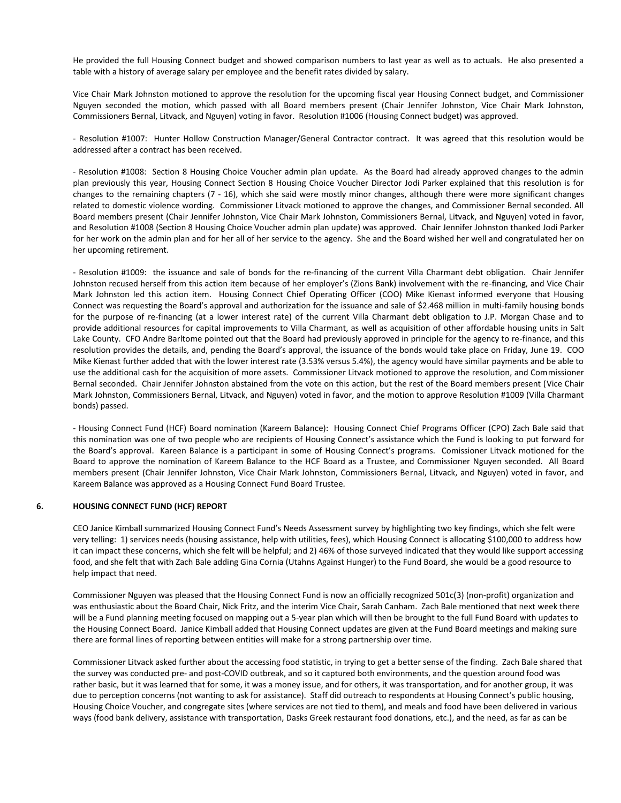He provided the full Housing Connect budget and showed comparison numbers to last year as well as to actuals. He also presented a table with a history of average salary per employee and the benefit rates divided by salary.

Vice Chair Mark Johnston motioned to approve the resolution for the upcoming fiscal year Housing Connect budget, and Commissioner Nguyen seconded the motion, which passed with all Board members present (Chair Jennifer Johnston, Vice Chair Mark Johnston, Commissioners Bernal, Litvack, and Nguyen) voting in favor. Resolution #1006 (Housing Connect budget) was approved.

- Resolution #1007: Hunter Hollow Construction Manager/General Contractor contract. It was agreed that this resolution would be addressed after a contract has been received.

- Resolution #1008: Section 8 Housing Choice Voucher admin plan update. As the Board had already approved changes to the admin plan previously this year, Housing Connect Section 8 Housing Choice Voucher Director Jodi Parker explained that this resolution is for changes to the remaining chapters (7 - 16), which she said were mostly minor changes, although there were more significant changes related to domestic violence wording. Commissioner Litvack motioned to approve the changes, and Commissioner Bernal seconded. All Board members present (Chair Jennifer Johnston, Vice Chair Mark Johnston, Commissioners Bernal, Litvack, and Nguyen) voted in favor, and Resolution #1008 (Section 8 Housing Choice Voucher admin plan update) was approved. Chair Jennifer Johnston thanked Jodi Parker for her work on the admin plan and for her all of her service to the agency. She and the Board wished her well and congratulated her on her upcoming retirement.

- Resolution #1009: the issuance and sale of bonds for the re-financing of the current Villa Charmant debt obligation. Chair Jennifer Johnston recused herself from this action item because of her employer's (Zions Bank) involvement with the re-financing, and Vice Chair Mark Johnston led this action item. Housing Connect Chief Operating Officer (COO) Mike Kienast informed everyone that Housing Connect was requesting the Board's approval and authorization for the issuance and sale of \$2.468 million in multi-family housing bonds for the purpose of re-financing (at a lower interest rate) of the current Villa Charmant debt obligation to J.P. Morgan Chase and to provide additional resources for capital improvements to Villa Charmant, as well as acquisition of other affordable housing units in Salt Lake County. CFO Andre Barltome pointed out that the Board had previously approved in principle for the agency to re-finance, and this resolution provides the details, and, pending the Board's approval, the issuance of the bonds would take place on Friday, June 19. COO Mike Kienast further added that with the lower interest rate (3.53% versus 5.4%), the agency would have similar payments and be able to use the additional cash for the acquisition of more assets. Commissioner Litvack motioned to approve the resolution, and Commissioner Bernal seconded. Chair Jennifer Johnston abstained from the vote on this action, but the rest of the Board members present (Vice Chair Mark Johnston, Commissioners Bernal, Litvack, and Nguyen) voted in favor, and the motion to approve Resolution #1009 (Villa Charmant bonds) passed.

- Housing Connect Fund (HCF) Board nomination (Kareem Balance): Housing Connect Chief Programs Officer (CPO) Zach Bale said that this nomination was one of two people who are recipients of Housing Connect's assistance which the Fund is looking to put forward for the Board's approval. Kareen Balance is a participant in some of Housing Connect's programs. Comissioner Litvack motioned for the Board to approve the nomination of Kareem Balance to the HCF Board as a Trustee, and Commissioner Nguyen seconded. All Board members present (Chair Jennifer Johnston, Vice Chair Mark Johnston, Commissioners Bernal, Litvack, and Nguyen) voted in favor, and Kareem Balance was approved as a Housing Connect Fund Board Trustee.

# **6. HOUSING CONNECT FUND (HCF) REPORT**

CEO Janice Kimball summarized Housing Connect Fund's Needs Assessment survey by highlighting two key findings, which she felt were very telling: 1) services needs (housing assistance, help with utilities, fees), which Housing Connect is allocating \$100,000 to address how it can impact these concerns, which she felt will be helpful; and 2) 46% of those surveyed indicated that they would like support accessing food, and she felt that with Zach Bale adding Gina Cornia (Utahns Against Hunger) to the Fund Board, she would be a good resource to help impact that need.

Commissioner Nguyen was pleased that the Housing Connect Fund is now an officially recognized 501c(3) (non-profit) organization and was enthusiastic about the Board Chair, Nick Fritz, and the interim Vice Chair, Sarah Canham. Zach Bale mentioned that next week there will be a Fund planning meeting focused on mapping out a 5-year plan which will then be brought to the full Fund Board with updates to the Housing Connect Board. Janice Kimball added that Housing Connect updates are given at the Fund Board meetings and making sure there are formal lines of reporting between entities will make for a strong partnership over time.

Commissioner Litvack asked further about the accessing food statistic, in trying to get a better sense of the finding. Zach Bale shared that the survey was conducted pre- and post-COVID outbreak, and so it captured both environments, and the question around food was rather basic, but it was learned that for some, it was a money issue, and for others, it was transportation, and for another group, it was due to perception concerns (not wanting to ask for assistance). Staff did outreach to respondents at Housing Connect's public housing, Housing Choice Voucher, and congregate sites (where services are not tied to them), and meals and food have been delivered in various ways (food bank delivery, assistance with transportation, Dasks Greek restaurant food donations, etc.), and the need, as far as can be